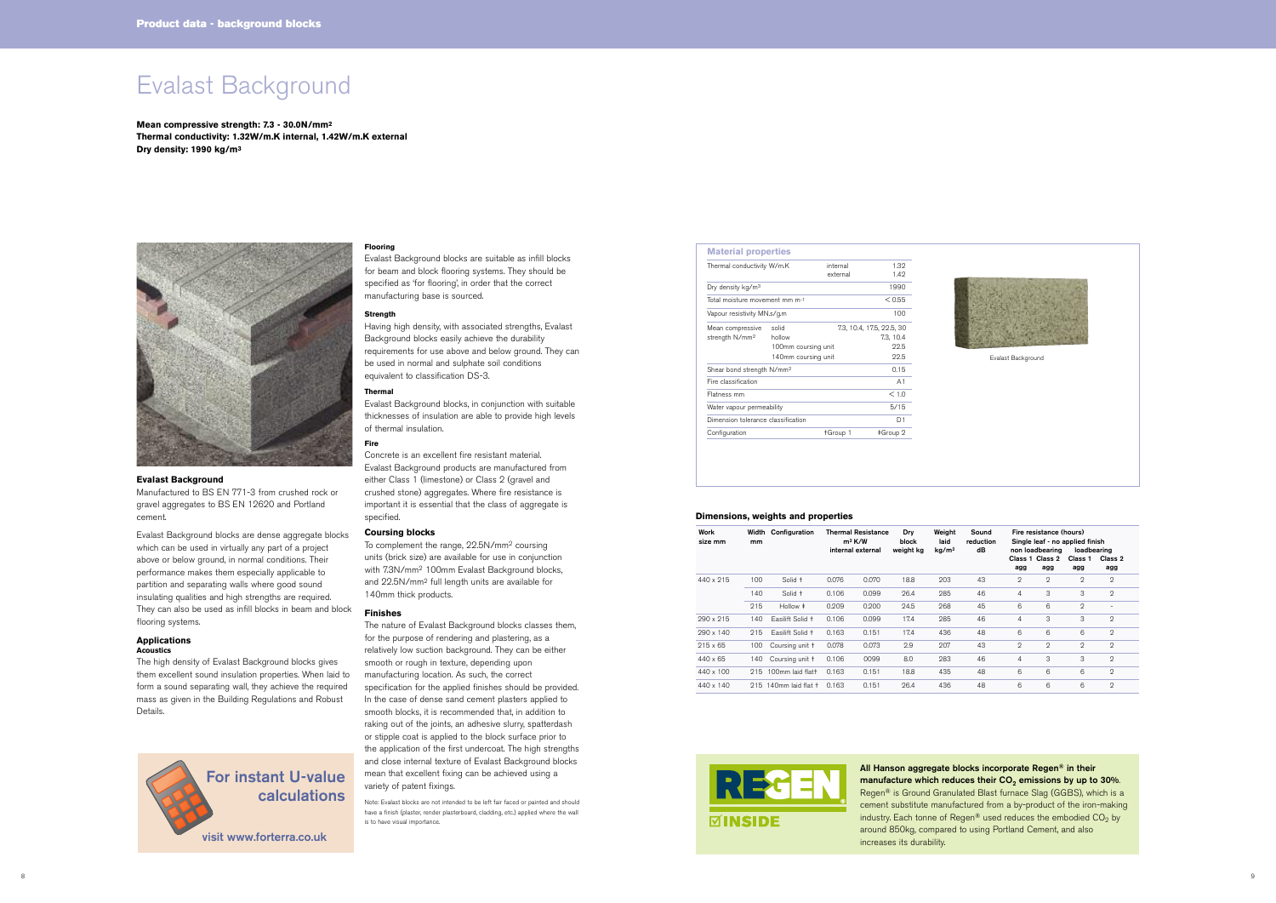# Evalast Background

**Mean compressive strength: 7.3 - 30.0N/mm2 Thermal conductivity: 1.32W/m.K internal, 1.42W/m.K external Dry density: 1990 kg/m3**



## **Evalast Background**

Manufactured to BS EN 771-3 from crushed rock or gravel aggregates to BS EN 12620 and Portland cement.

Evalast Background blocks are dense aggregate blocks which can be used in virtually any part of a project above or below ground, in normal conditions. Their performance makes them especially applicable to partition and separating walls where good sound insulating qualities and high strengths are required. They can also be used as infill blocks in beam and block flooring systems.

#### **Applications Acoustics**

The high density of Evalast Background blocks gives them excellent sound insulation properties. When laid to form a sound separating wall, they achieve the required mass as given in the Building Regulations and Robust Details.



 $\boldsymbol{v}$ isit www.forterra.co.uk

### **Flooring**

Evalast Background blocks are suitable as infill blocks for beam and block flooring systems. They should be specified as 'for flooring', in order that the correct manufacturing base is sourced.

### **Strength**

Having high density, with associated strengths, Evalast Background blocks easily achieve the durability requirements for use above and below ground. They can be used in normal and sulphate soil conditions equivalent to classification DS-3.

## **Thermal**

Evalast Background blocks, in conjunction with suitable thicknesses of insulation are able to provide high levels of thermal insulation.

# **Fire**

Concrete is an excellent fire resistant material. Evalast Background products are manufactured from either Class 1 (limestone) or Class 2 (gravel and crushed stone) aggregates. Where fire resistance is important it is essential that the class of aggregate is specified.

## **Coursing blocks**

To complement the range, 22.5N/mm2 coursing units (brick size) are available for use in conjunction with 7.3N/mm2 100mm Evalast Background blocks, and 22.5N/mm2 full length units are available for 140mm thick products.

### **Finishes**

The nature of Evalast Background blocks classes them, for the purpose of rendering and plastering, as a relatively low suction background. They can be either smooth or rough in texture, depending upon manufacturing location. As such, the correct specification for the applied finishes should be provided. In the case of dense sand cement plasters applied to smooth blocks, it is recommended that, in addition to raking out of the joints, an adhesive slurry, spatterdash or stipple coat is applied to the block surface prior to the application of the first undercoat. The high strengths and close internal texture of Evalast Background blocks mean that excellent fixing can be achieved using a variety of patent fixings.

Note: Evalast blocks are not intended to be left fair faced or painted and should have a finish (plaster, render plasterboard, cladding, etc.) applied where the wall is to have visual importance.